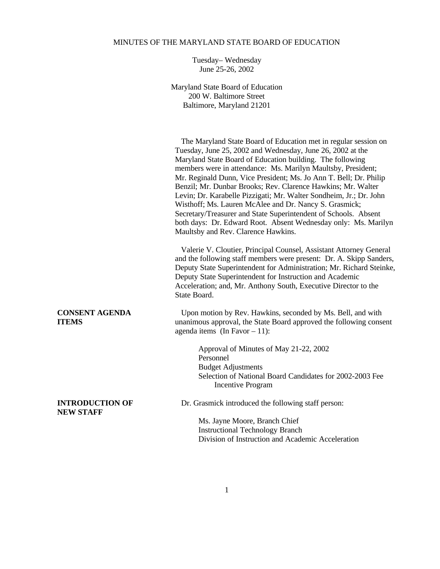## MINUTES OF THE MARYLAND STATE BOARD OF EDUCATION

Tuesday– Wednesday June 25-26, 2002

Maryland State Board of Education 200 W. Baltimore Street Baltimore, Maryland 21201

 The Maryland State Board of Education met in regular session on Tuesday, June 25, 2002 and Wednesday, June 26, 2002 at the Maryland State Board of Education building. The following members were in attendance: Ms. Marilyn Maultsby, President; Mr. Reginald Dunn, Vice President; Ms. Jo Ann T. Bell; Dr. Philip Benzil; Mr. Dunbar Brooks; Rev. Clarence Hawkins; Mr. Walter Levin; Dr. Karabelle Pizzigati; Mr. Walter Sondheim, Jr.; Dr. John Wisthoff; Ms. Lauren McAlee and Dr. Nancy S. Grasmick; Secretary/Treasurer and State Superintendent of Schools. Absent both days: Dr. Edward Root. Absent Wednesday only: Ms. Marilyn Maultsby and Rev. Clarence Hawkins.

 Valerie V. Cloutier, Principal Counsel, Assistant Attorney General and the following staff members were present: Dr. A. Skipp Sanders, Deputy State Superintendent for Administration; Mr. Richard Steinke, Deputy State Superintendent for Instruction and Academic Acceleration; and, Mr. Anthony South, Executive Director to the State Board.

**CONSENT AGENDA** Upon motion by Rev. Hawkins, seconded by Ms. Bell, and with **ITEMS** unanimous approval, the State Board approved the following consent agenda items (In Favor  $-11$ ):

> Approval of Minutes of May 21-22, 2002 Personnel Budget Adjustments Selection of National Board Candidates for 2002-2003 Fee Incentive Program

# **NEW STAFF**

**INTRODUCTION OF** Dr. Grasmick introduced the following staff person:

Ms. Jayne Moore, Branch Chief Instructional Technology Branch Division of Instruction and Academic Acceleration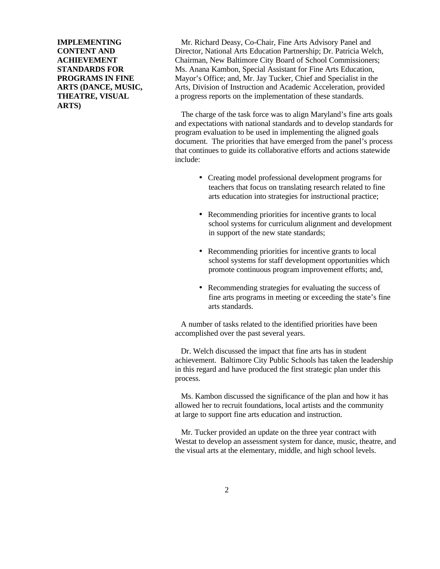**ARTS)**

**IMPLEMENTING** Mr. Richard Deasy, Co-Chair, Fine Arts Advisory Panel and **CONTENT AND** Director, National Arts Education Partnership: Dr. Patricia Welch, **ACHIEVEMENT** Chairman, New Baltimore City Board of School Commissioners; **STANDARDS FOR** Ms. Anana Kambon, Special Assistant for Fine Arts Education, **PROGRAMS IN FINE** Mayor's Office; and, Mr. Jay Tucker, Chief and Specialist in the **ARTS (DANCE, MUSIC,** Arts, Division of Instruction and Academic Acceleration, provided **THEATRE, VISUAL** a progress reports on the implementation of these standards.

> The charge of the task force was to align Maryland's fine arts goals and expectations with national standards and to develop standards for program evaluation to be used in implementing the aligned goals document. The priorities that have emerged from the panel's process that continues to guide its collaborative efforts and actions statewide include:

- Creating model professional development programs for teachers that focus on translating research related to fine arts education into strategies for instructional practice;
- Recommending priorities for incentive grants to local school systems for curriculum alignment and development in support of the new state standards;
- Recommending priorities for incentive grants to local school systems for staff development opportunities which promote continuous program improvement efforts; and,
- Recommending strategies for evaluating the success of fine arts programs in meeting or exceeding the state's fine arts standards.

A number of tasks related to the identified priorities have been accomplished over the past several years.

Dr. Welch discussed the impact that fine arts has in student achievement. Baltimore City Public Schools has taken the leadership in this regard and have produced the first strategic plan under this process.

 Ms. Kambon discussed the significance of the plan and how it has allowed her to recruit foundations, local artists and the community at large to support fine arts education and instruction.

 Mr. Tucker provided an update on the three year contract with Westat to develop an assessment system for dance, music, theatre, and the visual arts at the elementary, middle, and high school levels.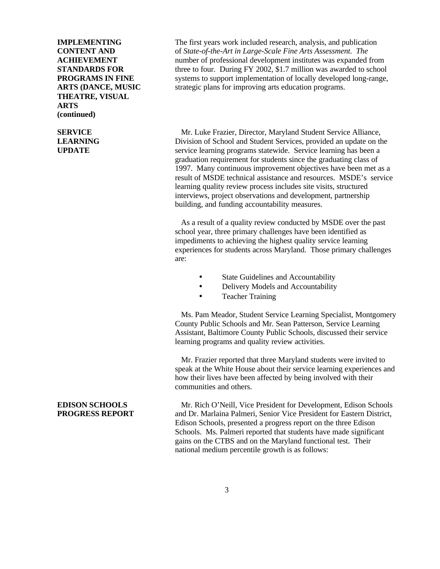**THEATRE, VISUAL ARTS (continued)**

**IMPLEMENTING** The first years work included research, analysis, and publication **CONTENT AND** of *State-of-the-Art in Large-Scale Fine Arts Assessment. The* **ACHIEVEMENT** number of professional development institutes was expanded from **STANDARDS FOR** three to four. During FY 2002, \$1.7 million was awarded to school **PROGRAMS IN FINE** systems to support implementation of locally developed long-range, **ARTS (DANCE, MUSIC** strategic plans for improving arts education programs.

**SERVICE** Mr. Luke Frazier, Director, Maryland Student Service Alliance, **LEARNING** Division of School and Student Services, provided an update on the **UPDATE** service learning programs statewide. Service learning has been a graduation requirement for students since the graduating class of 1997. Many continuous improvement objectives have been met as a result of MSDE technical assistance and resources. MSDE's service learning quality review process includes site visits, structured interviews, project observations and development, partnership building, and funding accountability measures.

> As a result of a quality review conducted by MSDE over the past school year, three primary challenges have been identified as impediments to achieving the highest quality service learning experiences for students across Maryland. Those primary challenges are:

- State Guidelines and Accountability
- Delivery Models and Accountability
- Teacher Training

 Ms. Pam Meador, Student Service Learning Specialist, Montgomery County Public Schools and Mr. Sean Patterson, Service Learning Assistant, Baltimore County Public Schools, discussed their service learning programs and quality review activities.

 Mr. Frazier reported that three Maryland students were invited to speak at the White House about their service learning experiences and how their lives have been affected by being involved with their communities and others.

**EDISON SCHOOLS** Mr. Rich O'Neill, Vice President for Development, Edison Schools **PROGRESS REPORT** and Dr. Marlaina Palmeri, Senior Vice President for Eastern District, Edison Schools, presented a progress report on the three Edison Schools. Ms. Palmeri reported that students have made significant gains on the CTBS and on the Maryland functional test. Their national medium percentile growth is as follows: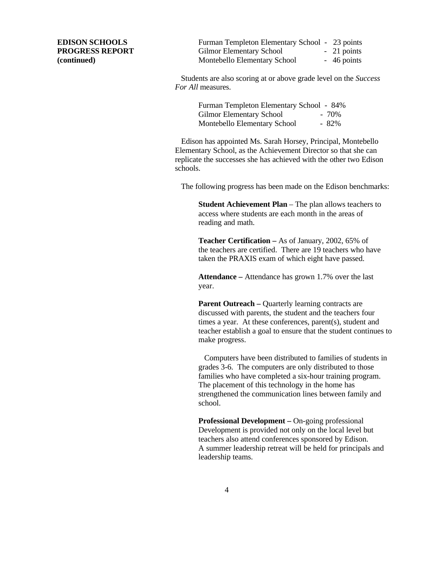**EDISON SCHOOLS** Furman Templeton Elementary School - 23 points **PROGRESS REPORT** Gilmor Elementary School - 21 points **(continued)** Montebello Elementary School - 46 points

> Students are also scoring at or above grade level on the *Success For All* measures.

| Furman Templeton Elementary School - 84% |         |
|------------------------------------------|---------|
| <b>Gilmor Elementary School</b>          | $-70\%$ |
| Montebello Elementary School             | $-82\%$ |

 Edison has appointed Ms. Sarah Horsey, Principal, Montebello Elementary School, as the Achievement Director so that she can replicate the successes she has achieved with the other two Edison schools.

The following progress has been made on the Edison benchmarks:

**Student Achievement Plan** – The plan allows teachers to access where students are each month in the areas of reading and math.

**Teacher Certification –** As of January, 2002, 65% of the teachers are certified. There are 19 teachers who have taken the PRAXIS exam of which eight have passed.

**Attendance –** Attendance has grown 1.7% over the last year.

**Parent Outreach – Quarterly learning contracts are** discussed with parents, the student and the teachers four times a year. At these conferences, parent(s), student and teacher establish a goal to ensure that the student continues to make progress.

Computers have been distributed to families of students in grades 3-6. The computers are only distributed to those families who have completed a six-hour training program. The placement of this technology in the home has strengthened the communication lines between family and school.

**Professional Development – On-going professional** Development is provided not only on the local level but teachers also attend conferences sponsored by Edison. A summer leadership retreat will be held for principals and leadership teams.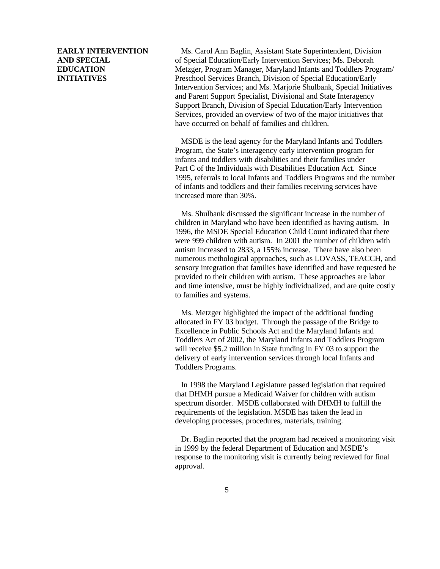**EARLY INTERVENTION** Ms. Carol Ann Baglin, Assistant State Superintendent, Division **AND SPECIAL** of Special Education/Early Intervention Services; Ms. Deborah **EDUCATION** Metzger, Program Manager, Maryland Infants and Toddlers Program/ **INITIATIVES** Preschool Services Branch, Division of Special Education/Early Intervention Services; and Ms. Marjorie Shulbank, Special Initiatives and Parent Support Specialist, Divisional and State Interagency Support Branch, Division of Special Education/Early Intervention Services, provided an overview of two of the major initiatives that have occurred on behalf of families and children.

> MSDE is the lead agency for the Maryland Infants and Toddlers Program, the State's interagency early intervention program for infants and toddlers with disabilities and their families under Part C of the Individuals with Disabilities Education Act. Since 1995, referrals to local Infants and Toddlers Programs and the number of infants and toddlers and their families receiving services have increased more than 30%.

> Ms. Shulbank discussed the significant increase in the number of children in Maryland who have been identified as having autism. In 1996, the MSDE Special Education Child Count indicated that there were 999 children with autism. In 2001 the number of children with autism increased to 2833, a 155% increase. There have also been numerous methological approaches, such as LOVASS, TEACCH, and sensory integration that families have identified and have requested be provided to their children with autism. These approaches are labor and time intensive, must be highly individualized, and are quite costly to families and systems.

 Ms. Metzger highlighted the impact of the additional funding allocated in FY 03 budget. Through the passage of the Bridge to Excellence in Public Schools Act and the Maryland Infants and Toddlers Act of 2002, the Maryland Infants and Toddlers Program will receive \$5.2 million in State funding in FY 03 to support the delivery of early intervention services through local Infants and Toddlers Programs.

 In 1998 the Maryland Legislature passed legislation that required that DHMH pursue a Medicaid Waiver for children with autism spectrum disorder. MSDE collaborated with DHMH to fulfill the requirements of the legislation. MSDE has taken the lead in developing processes, procedures, materials, training.

 Dr. Baglin reported that the program had received a monitoring visit in 1999 by the federal Department of Education and MSDE's response to the monitoring visit is currently being reviewed for final approval.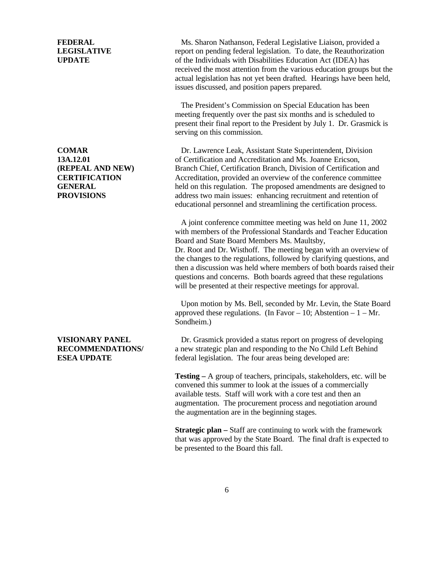**FEDERAL** Ms. Sharon Nathanson, Federal Legislative Liaison, provided a **LEGISLATIVE** report on pending federal legislation. To date, the Reauthorization **UPDATE** of the Individuals with Disabilities Education Act (IDEA) has received the most attention from the various education groups but the actual legislation has not yet been drafted. Hearings have been held, issues discussed, and position papers prepared.

> The President's Commission on Special Education has been meeting frequently over the past six months and is scheduled to present their final report to the President by July 1. Dr. Grasmick is serving on this commission.

**COMAR** Dr. Lawrence Leak, Assistant State Superintendent, Division **13A.12.01** of Certification and Accreditation and Ms. Joanne Ericson, **(REPEAL AND NEW)** Branch Chief, Certification Branch, Division of Certification and **CERTIFICATION** Accreditation, provided an overview of the conference committee **GENERAL** held on this regulation. The proposed amendments are designed to **PROVISIONS** address two main issues: enhancing recruitment and retention of educational personnel and streamlining the certification process.

> A joint conference committee meeting was held on June 11, 2002 with members of the Professional Standards and Teacher Education Board and State Board Members Ms. Maultsby, Dr. Root and Dr. Wisthoff. The meeting began with an overview of the changes to the regulations, followed by clarifying questions, and then a discussion was held where members of both boards raised their questions and concerns. Both boards agreed that these regulations will be presented at their respective meetings for approval.

Upon motion by Ms. Bell, seconded by Mr. Levin, the State Board approved these regulations. (In Favor – 10; Abstention –  $1 - Mr$ .) Sondheim.)

**VISIONARY PANEL** Dr. Grasmick provided a status report on progress of developing **RECOMMENDATIONS/** a new strategic plan and responding to the No Child Left Behind **ESEA UPDATE** federal legislation. The four areas being developed are:

> **Testing –** A group of teachers, principals, stakeholders, etc. will be convened this summer to look at the issues of a commercially available tests. Staff will work with a core test and then an augmentation. The procurement process and negotiation around the augmentation are in the beginning stages.

**Strategic plan** – Staff are continuing to work with the framework that was approved by the State Board. The final draft is expected to be presented to the Board this fall.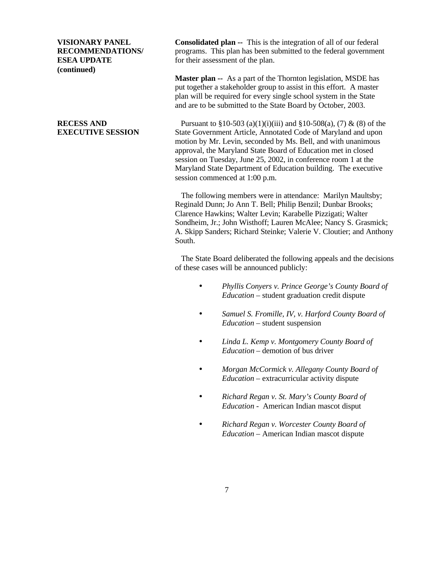**(continued)**

**VISIONARY PANEL Consolidated plan --** This is the integration of all of our federal **RECOMMENDATIONS/** programs. This plan has been submitted to the federal government **ESEA UPDATE** for their assessment of the plan.

> **Master plan --** As a part of the Thornton legislation, MSDE has put together a stakeholder group to assist in this effort. A master plan will be required for every single school system in the State and are to be submitted to the State Board by October, 2003.

**RECESS AND** Pursuant to  $\S 10-503$  (a)(1)(i)(iii) and  $\S 10-508$  (a), (7) & (8) of the **EXECUTIVE SESSION** State Government Article, Annotated Code of Maryland and upon motion by Mr. Levin, seconded by Ms. Bell, and with unanimous approval, the Maryland State Board of Education met in closed session on Tuesday, June 25, 2002, in conference room 1 at the Maryland State Department of Education building. The executive session commenced at 1:00 p.m.

> The following members were in attendance: Marilyn Maultsby; Reginald Dunn; Jo Ann T. Bell; Philip Benzil; Dunbar Brooks; Clarence Hawkins; Walter Levin; Karabelle Pizzigati; Walter Sondheim, Jr.; John Wisthoff; Lauren McAlee; Nancy S. Grasmick; A. Skipp Sanders; Richard Steinke; Valerie V. Cloutier; and Anthony South.

> The State Board deliberated the following appeals and the decisions of these cases will be announced publicly:

- *Phyllis Conyers v. Prince George's County Board of Education –* student graduation credit dispute
- *Samuel S. Fromille, IV, v. Harford County Board of Education –* student suspension
- *Linda L. Kemp v. Montgomery County Board of Education –* demotion of bus driver
- *Morgan McCormick v. Allegany County Board of Education –* extracurricular activity dispute
- *Richard Regan v. St. Mary's County Board of Education -* American Indian mascot disput
- *Richard Regan v. Worcester County Board of Education –* American Indian mascot dispute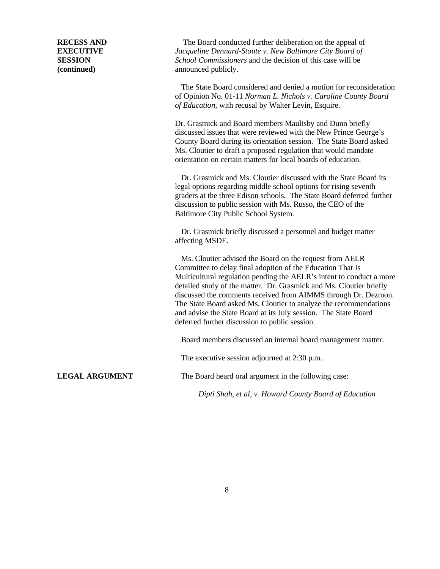**RECESS AND** The Board conducted further deliberation on the appeal of **EXECUTIVE** *Jacqueline Dennard-Stoute v. New Baltimore City Board of* **SESSION** *School Commissioners* and the decision of this case will be **(continued)** announced publicly.

> The State Board considered and denied a motion for reconsideration of Opinion No. 01-11 *Norman L. Nichols v. Caroline County Board of Education,* with recusal by Walter Levin, Esquire.

Dr. Grasmick and Board members Maultsby and Dunn briefly discussed issues that were reviewed with the New Prince George's County Board during its orientation session. The State Board asked Ms. Cloutier to draft a proposed regulation that would mandate orientation on certain matters for local boards of education.

 Dr. Grasmick and Ms. Cloutier discussed with the State Board its legal options regarding middle school options for rising seventh graders at the three Edison schools. The State Board deferred further discussion to public session with Ms. Russo, the CEO of the Baltimore City Public School System.

 Dr. Grasmick briefly discussed a personnel and budget matter affecting MSDE.

 Ms. Cloutier advised the Board on the request from AELR Committee to delay final adoption of the Education That Is Multicultural regulation pending the AELR's intent to conduct a more detailed study of the matter. Dr. Grasmick and Ms. Cloutier briefly discussed the comments received from AIMMS through Dr. Dezmon. The State Board asked Ms. Cloutier to analyze the recommendations and advise the State Board at its July session. The State Board deferred further discussion to public session.

Board members discussed an internal board management matter.

The executive session adjourned at 2:30 p.m.

**LEGAL ARGUMENT** The Board heard oral argument in the following case:

*Dipti Shah, et al, v. Howard County Board of Education*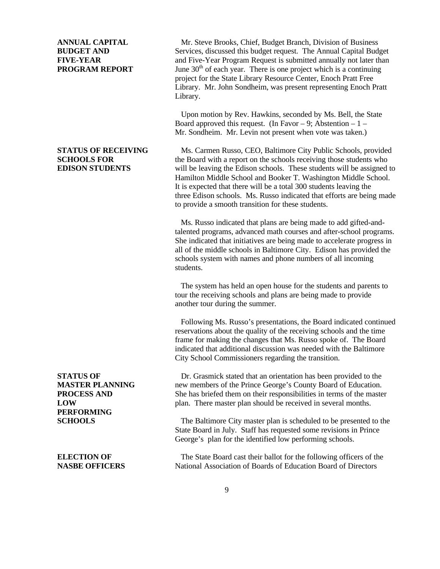**PERFORMING**

**ANNUAL CAPITAL** Mr. Steve Brooks, Chief, Budget Branch, Division of Business **BUDGET AND** Services, discussed this budget request. The Annual Capital Budget **FIVE-YEAR** and Five-Year Program Request is submitted annually not later than **PROGRAM REPORT** June 30<sup>th</sup> of each year. There is one project which is a continuing project for the State Library Resource Center, Enoch Pratt Free Library. Mr. John Sondheim, was present representing Enoch Pratt Library.

> Upon motion by Rev. Hawkins, seconded by Ms. Bell, the State Board approved this request. (In Favor – 9: Abstention –  $1 -$ Mr. Sondheim. Mr. Levin not present when vote was taken.)

**STATUS OF RECEIVING** Ms. Carmen Russo, CEO, Baltimore City Public Schools, provided **SCHOOLS FOR** the Board with a report on the schools receiving those students who **EDISON STUDENTS** will be leaving the Edison schools. These students will be assigned to Hamilton Middle School and Booker T. Washington Middle School. It is expected that there will be a total 300 students leaving the three Edison schools. Ms. Russo indicated that efforts are being made to provide a smooth transition for these students.

> Ms. Russo indicated that plans are being made to add gifted-andtalented programs, advanced math courses and after-school programs. She indicated that initiatives are being made to accelerate progress in all of the middle schools in Baltimore City. Edison has provided the schools system with names and phone numbers of all incoming students.

The system has held an open house for the students and parents to tour the receiving schools and plans are being made to provide another tour during the summer.

 Following Ms. Russo's presentations, the Board indicated continued reservations about the quality of the receiving schools and the time frame for making the changes that Ms. Russo spoke of. The Board indicated that additional discussion was needed with the Baltimore City School Commissioners regarding the transition.

**STATUS OF** Dr. Grasmick stated that an orientation has been provided to the **MASTER PLANNING** new members of the Prince George's County Board of Education. **PROCESS AND** She has briefed them on their responsibilities in terms of the master **LOW plan.** There master plan should be received in several months.

**SCHOOLS** The Baltimore City master plan is scheduled to be presented to the State Board in July. Staff has requested some revisions in Prince George's plan for the identified low performing schools.

**ELECTION OF** The State Board cast their ballot for the following officers of the **NASBE OFFICERS** National Association of Boards of Education Board of Directors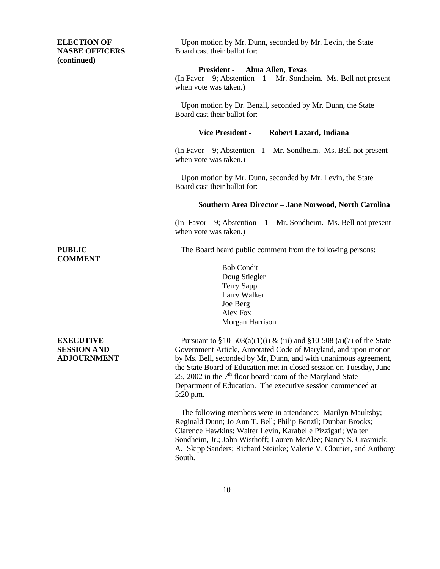**ELECTION OF** Upon motion by Mr. Dunn, seconded by Mr. Levin, the State **NASBE OFFICERS** Board cast their ballot for: **(continued) President - Alma Allen, Texas** (In Favor  $-9$ ; Abstention  $-1$  -- Mr. Sondheim. Ms. Bell not present when vote was taken.) Upon motion by Dr. Benzil, seconded by Mr. Dunn, the State Board cast their ballot for: **Vice President - Robert Lazard, Indiana** (In Favor – 9; Abstention - 1 – Mr. Sondheim. Ms. Bell not present when vote was taken.) Upon motion by Mr. Dunn, seconded by Mr. Levin, the State Board cast their ballot for: **Southern Area Director – Jane Norwood, North Carolina** (In Favor – 9; Abstention –  $1 - Mr$ . Sondheim. Ms. Bell not present when vote was taken.) **PUBLIC** The Board heard public comment from the following persons: **COMMENT** Bob Condit Doug Stiegler Terry Sapp Larry Walker Joe Berg Alex Fox Morgan Harrison **EXECUTIVE** Pursuant to  $\S10-503(a)(1)(i) \& (iii)$  and  $\S10-508(a)(7)$  of the State

**SESSION AND** Government Article, Annotated Code of Maryland, and upon motion **ADJOURNMENT** by Ms. Bell, seconded by Mr, Dunn, and with unanimous agreement, the State Board of Education met in closed session on Tuesday, June 25, 2002 in the  $7<sup>th</sup>$  floor board room of the Maryland State Department of Education. The executive session commenced at 5:20 p.m.

> The following members were in attendance: Marilyn Maultsby; Reginald Dunn; Jo Ann T. Bell; Philip Benzil; Dunbar Brooks; Clarence Hawkins; Walter Levin, Karabelle Pizzigati; Walter Sondheim, Jr.; John Wisthoff; Lauren McAlee; Nancy S. Grasmick; A. Skipp Sanders; Richard Steinke; Valerie V. Cloutier, and Anthony South.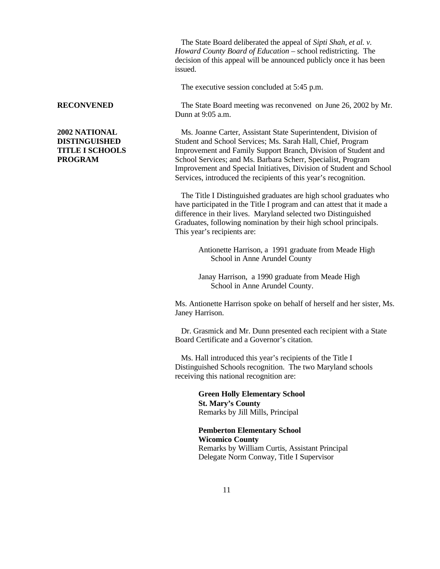The State Board deliberated the appeal of *Sipti Shah, et al. v. Howard County Board of Education –* school redistricting. The decision of this appeal will be announced publicly once it has been issued.

The executive session concluded at 5:45 p.m.

**RECONVENED** The State Board meeting was reconvened on June 26, 2002 by Mr. Dunn at 9:05 a.m.

**2002 NATIONAL** Ms. Joanne Carter, Assistant State Superintendent, Division of **DISTINGUISHED** Student and School Services; Ms. Sarah Hall, Chief, Program **TITLE I SCHOOLS** Improvement and Family Support Branch, Division of Student and **PROGRAM** School Services: and Ms. Barbara Scherr, Specialist, Program Improvement and Special Initiatives, Division of Student and School Services, introduced the recipients of this year's recognition.

> The Title I Distinguished graduates are high school graduates who have participated in the Title I program and can attest that it made a difference in their lives. Maryland selected two Distinguished Graduates, following nomination by their high school principals. This year's recipients are:

> > Antionette Harrison, a 1991 graduate from Meade High School in Anne Arundel County

Janay Harrison, a 1990 graduate from Meade High School in Anne Arundel County.

Ms. Antionette Harrison spoke on behalf of herself and her sister, Ms. Janey Harrison.

 Dr. Grasmick and Mr. Dunn presented each recipient with a State Board Certificate and a Governor's citation.

 Ms. Hall introduced this year's recipients of the Title I Distinguished Schools recognition. The two Maryland schools receiving this national recognition are:

> **Green Holly Elementary School St. Mary's County** Remarks by Jill Mills, Principal

**Pemberton Elementary School Wicomico County** Remarks by William Curtis, Assistant Principal Delegate Norm Conway, Title I Supervisor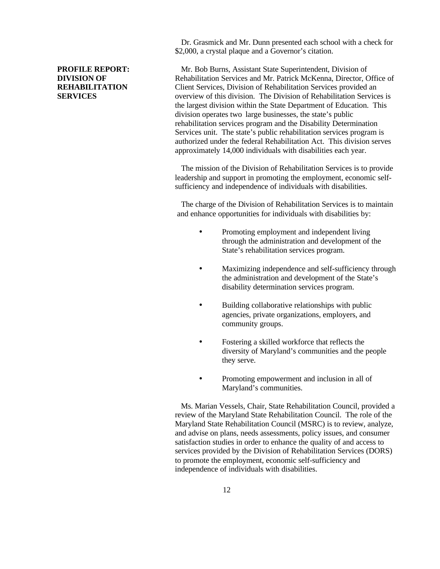Dr. Grasmick and Mr. Dunn presented each school with a check for \$2,000, a crystal plaque and a Governor's citation.

**PROFILE REPORT:** Mr. Bob Burns, Assistant State Superintendent, Division of **DIVISION OF Rehabilitation Services and Mr. Patrick McKenna, Director, Office of REHABILITATION** Client Services, Division of Rehabilitation Services provided an **SERVICES** overview of this division. The Division of Rehabilitation Services is the largest division within the State Department of Education. This division operates two large businesses, the state's public rehabilitation services program and the Disability Determination Services unit. The state's public rehabilitation services program is authorized under the federal Rehabilitation Act. This division serves approximately 14,000 individuals with disabilities each year.

> The mission of the Division of Rehabilitation Services is to provide leadership and support in promoting the employment, economic selfsufficiency and independence of individuals with disabilities.

> The charge of the Division of Rehabilitation Services is to maintain and enhance opportunities for individuals with disabilities by:

- Promoting employment and independent living through the administration and development of the State's rehabilitation services program.
- Maximizing independence and self-sufficiency through the administration and development of the State's disability determination services program.
- Building collaborative relationships with public agencies, private organizations, employers, and community groups.
- Fostering a skilled workforce that reflects the diversity of Maryland's communities and the people they serve.
- Promoting empowerment and inclusion in all of Maryland's communities.

 Ms. Marian Vessels, Chair, State Rehabilitation Council, provided a review of the Maryland State Rehabilitation Council. The role of the Maryland State Rehabilitation Council (MSRC) is to review, analyze, and advise on plans, needs assessments, policy issues, and consumer satisfaction studies in order to enhance the quality of and access to services provided by the Division of Rehabilitation Services (DORS) to promote the employment, economic self-sufficiency and independence of individuals with disabilities.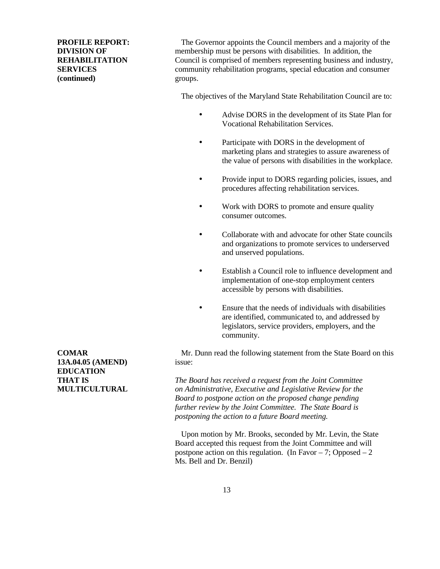**(continued)** groups.

**PROFILE REPORT:** The Governor appoints the Council members and a majority of the **DIVISION OF** membership must be persons with disabilities. In addition, the **REHABILITATION** Council is comprised of members representing business and industry, **SERVICES** community rehabilitation programs, special education and consumer

The objectives of the Maryland State Rehabilitation Council are to:

- Advise DORS in the development of its State Plan for Vocational Rehabilitation Services.
- Participate with DORS in the development of marketing plans and strategies to assure awareness of the value of persons with disabilities in the workplace.
- Provide input to DORS regarding policies, issues, and procedures affecting rehabilitation services.
- Work with DORS to promote and ensure quality consumer outcomes.
- Collaborate with and advocate for other State councils and organizations to promote services to underserved and unserved populations.
- Establish a Council role to influence development and implementation of one-stop employment centers accessible by persons with disabilities.
- Ensure that the needs of individuals with disabilities are identified, communicated to, and addressed by legislators, service providers, employers, and the community.

**COMAR** Mr. Dunn read the following statement from the State Board on this

**THAT IS** *The Board has received a request from the Joint Committee* **MULTICULTURAL** *on Administrative, Executive and Legislative Review for the Board to postpone action on the proposed change pending further review by the Joint Committee. The State Board is postponing the action to a future Board meeting.*

> Upon motion by Mr. Brooks, seconded by Mr. Levin, the State Board accepted this request from the Joint Committee and will postpone action on this regulation. (In Favor  $-7$ ; Opposed  $-2$ ) Ms. Bell and Dr. Benzil)

**13A.04.05 (AMEND)** issue: **EDUCATION**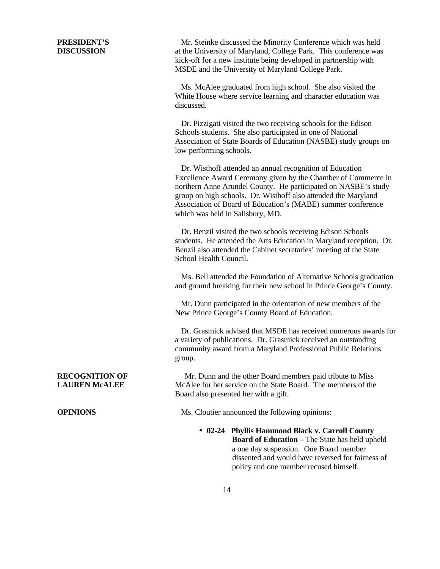**PRESIDENT'S** Mr. Steinke discussed the Minority Conference which was held **DISCUSSION** at the University of Maryland, College Park. This conference was kick-off for a new institute being developed in partnership with MSDE and the University of Maryland College Park.

> Ms. McAlee graduated from high school. She also visited the White House where service learning and character education was discussed.

 Dr. Pizzigati visited the two receiving schools for the Edison Schools students. She also participated in one of National Association of State Boards of Education (NASBE) study groups on low performing schools.

 Dr. Wisthoff attended an annual recognition of Education Excellence Award Ceremony given by the Chamber of Commerce in northern Anne Arundel County. He participated on NASBE's study group on high schools. Dr. Wisthoff also attended the Maryland Association of Board of Education's (MABE) summer conference which was held in Salisbury, MD.

 Dr. Benzil visited the two schools receiving Edison Schools students. He attended the Arts Education in Maryland reception. Dr. Benzil also attended the Cabinet secretaries' meeting of the State School Health Council.

 Ms. Bell attended the Foundation of Alternative Schools graduation and ground breaking for their new school in Prince George's County.

 Mr. Dunn participated in the orientation of new members of the New Prince George's County Board of Education.

 Dr. Grasmick advised that MSDE has received numerous awards for a variety of publications. Dr. Grasmick received an outstanding community award from a Maryland Professional Public Relations group.

**RECOGNITION OF** Mr. Dunn and the other Board members paid tribute to Miss **LAUREN McALEE** McAlee for her service on the State Board. The members of the Board also presented her with a gift.

**OPINIONS** Ms. Cloutier announced the following opinions:

• **02-24 Phyllis Hammond Black v. Carroll County Board of Education –** The State has held upheld a one day suspension. One Board member dissented and would have reversed for fairness of policy and one member recused himself.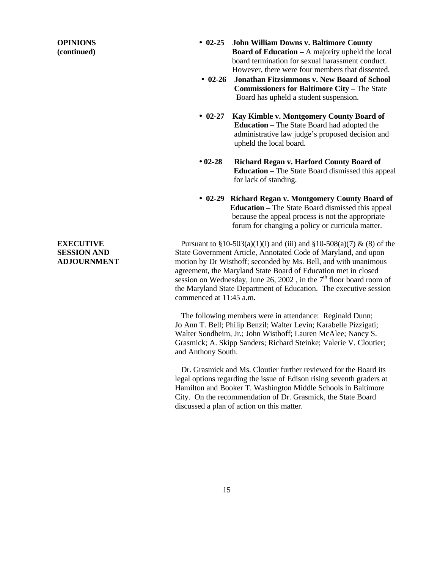- **OPINIONS 02-25 John William Downs v. Baltimore County (continued) Board of Education –** A majority upheld the local board termination for sexual harassment conduct. However, there were four members that dissented.
	- **02-26 Jonathan Fitzsimmons v. New Board of School Commissioners for Baltimore City – The State** Board has upheld a student suspension.
	- **· 02-27 Kay Kimble v. Montgomery County Board of Education –** The State Board had adopted the administrative law judge's proposed decision and upheld the local board.
	- **02-28 Richard Regan v. Harford County Board of Education –** The State Board dismissed this appeal for lack of standing.
	- **02-29 Richard Regan v. Montgomery County Board of Education –** The State Board dismissed this appeal because the appeal process is not the appropriate forum for changing a policy or curricula matter.

**EXECUTIVE** Pursuant to  $\S10-503(a)(1)(i)$  and  $(iii)$  and  $\S10-508(a)(7)$  & (8) of the **SESSION AND** State Government Article, Annotated Code of Maryland, and upon **ADJOURNMENT** motion by Dr Wisthoff; seconded by Ms. Bell, and with unanimous agreement, the Maryland State Board of Education met in closed session on Wednesday, June 26, 2002, in the  $7<sup>th</sup>$  floor board room of the Maryland State Department of Education. The executive session commenced at 11:45 a.m.

> The following members were in attendance: Reginald Dunn; Jo Ann T. Bell; Philip Benzil; Walter Levin; Karabelle Pizzigati; Walter Sondheim, Jr.; John Wisthoff; Lauren McAlee; Nancy S. Grasmick; A. Skipp Sanders; Richard Steinke; Valerie V. Cloutier; and Anthony South.

> Dr. Grasmick and Ms. Cloutier further reviewed for the Board its legal options regarding the issue of Edison rising seventh graders at Hamilton and Booker T. Washington Middle Schools in Baltimore City. On the recommendation of Dr. Grasmick, the State Board discussed a plan of action on this matter.